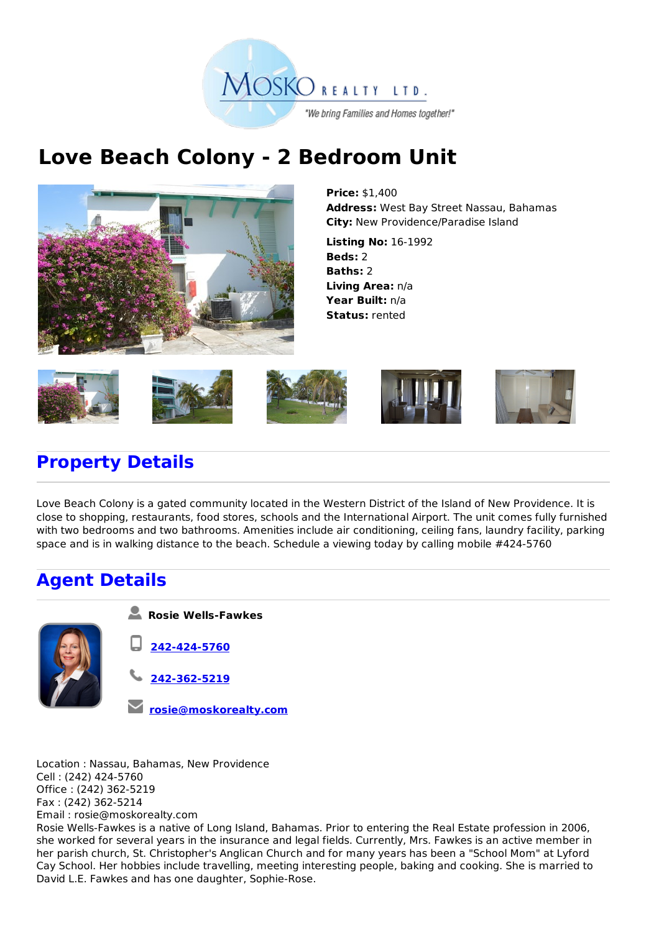

## **Love Beach Colony - 2 Bedroom Unit**



**Price:** \$1,400 **Address:** West Bay Street Nassau, Bahamas **City:** New Providence/Paradise Island

**Listing No:** 16-1992 **Beds:** 2 **Baths:** 2 **Living Area:** n/a **Year Built:** n/a **Status:** rented



## **Property Details**

Love Beach Colony is a gated community located in the Western District of the Island of New Providence. It is close to shopping, restaurants, food stores, schools and the International Airport. The unit comes fully furnished with two bedrooms and two bathrooms. Amenities include air conditioning, ceiling fans, laundry facility, parking space and is in walking distance to the beach. Schedule a viewing today by calling mobile #424-5760

## **Agent Details**



- **Rosie Wells-Fawkes**
- **242-424-5760**
- **242-362-5219**
- **rosie@moskorealty.com**

Location : Nassau, Bahamas, New Providence Cell : (242) 424-5760 Office : (242) 362-5219 Fax : (242) 362-5214 Email : rosie@moskorealty.com

Rosie Wells-Fawkes is a native of Long Island, Bahamas. Prior to entering the Real Estate profession in 2006, she worked for several years in the insurance and legal fields. Currently, Mrs. Fawkes is an active member in her parish church, St. Christopher's Anglican Church and for many years has been a "School Mom" at Lyford Cay School. Her hobbies include travelling, meeting interesting people, baking and cooking. She is married to David L.E. Fawkes and has one daughter, Sophie-Rose.